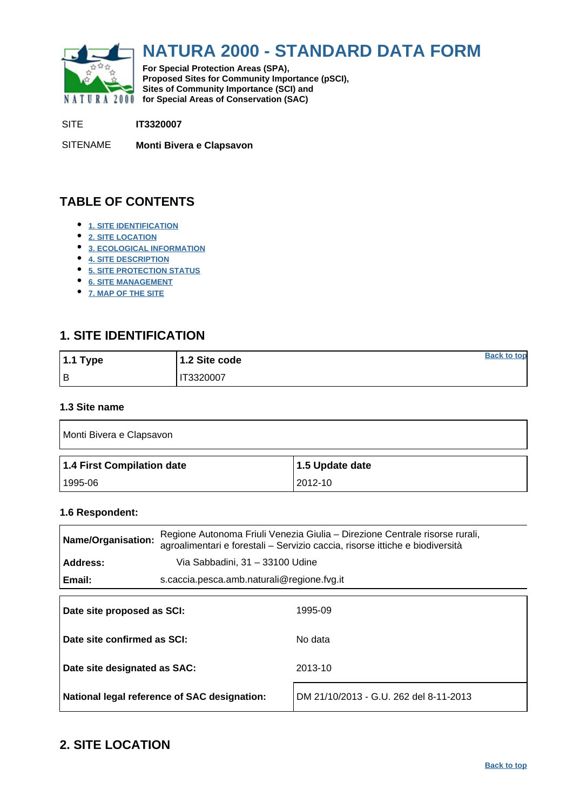<span id="page-0-0"></span>

# **NATURA 2000 - STANDARD DATA FORM**

**For Special Protection Areas (SPA), Proposed Sites for Community Importance (pSCI), Sites of Community Importance (SCI) and NATURA 2000 for Special Areas of Conservation (SAC)** 

SITE **IT3320007**

SITENAME **Monti Bivera e Clapsavon**

# **TABLE OF CONTENTS**

- **[1. SITE IDENTIFICATION](#page-0-1)**
- **[2. SITE LOCATION](#page-0-2)**
- **[3. ECOLOGICAL INFORMATION](#page-1-0)**
- **[4. SITE DESCRIPTION](#page-4-0)**
- **[5. SITE PROTECTION STATUS](#page-6-0)**
- **[6. SITE MANAGEMENT](#page-6-1)**
- **[7. MAP OF THE SITE](#page-6-2)**

# <span id="page-0-1"></span>**1. SITE IDENTIFICATION**

| $1.1$ Type | 1.2 Site code | <b>Back to top</b> |
|------------|---------------|--------------------|
| Iв         | T3320007      |                    |

#### **1.3 Site name**

| Monti Bivera e Clapsavon   |                 |
|----------------------------|-----------------|
| 1.4 First Compilation date | 1.5 Update date |
|                            |                 |

#### **1.6 Respondent:**

| Regione Autonoma Friuli Venezia Giulia – Direzione Centrale risorse rurali,<br><b>Name/Organisation:</b><br>agroalimentari e forestali - Servizio caccia, risorse ittiche e biodiversità |                                 |                                            |  |  |  |  |  |  |  |  |
|------------------------------------------------------------------------------------------------------------------------------------------------------------------------------------------|---------------------------------|--------------------------------------------|--|--|--|--|--|--|--|--|
| Address:                                                                                                                                                                                 | Via Sabbadini, 31 - 33100 Udine |                                            |  |  |  |  |  |  |  |  |
| Email:                                                                                                                                                                                   |                                 | s.caccia.pesca.amb.naturali@regione.fvg.it |  |  |  |  |  |  |  |  |
| Date site proposed as SCI:<br>Date site confirmed as SCI:<br>Date site designated as SAC:                                                                                                |                                 | 1995-09<br>No data<br>2013-10              |  |  |  |  |  |  |  |  |
|                                                                                                                                                                                          |                                 |                                            |  |  |  |  |  |  |  |  |

**National legal reference of SAC designation:** DM 21/10/2013 - G.U. 262 del 8-11-2013

# <span id="page-0-2"></span>**2. SITE LOCATION**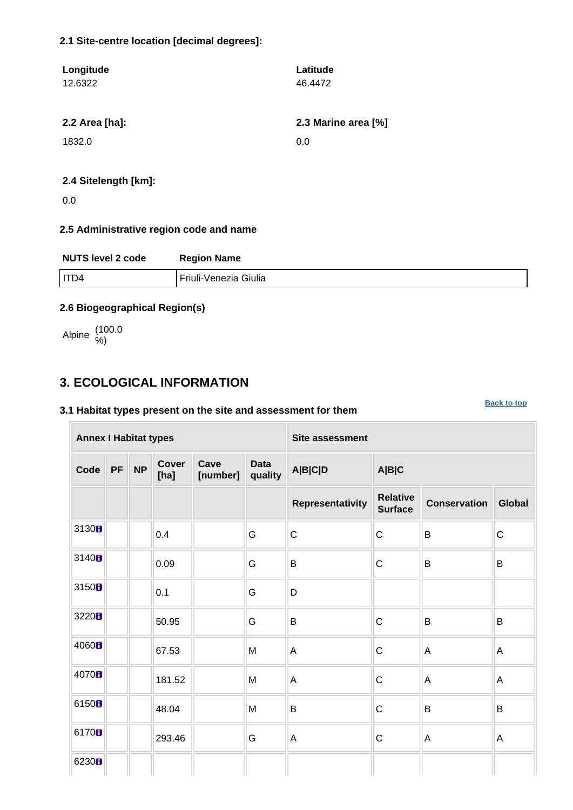### **2.1 Site-centre location [decimal degrees]:**

| Longitude                | Latitude            |
|--------------------------|---------------------|
| 12.6322                  | 46.4472             |
|                          |                     |
| 2.2 Area [ha]:           | 2.3 Marine area [%] |
| 1832.0                   | 0.0                 |
|                          |                     |
| 0.4. Citatan ath Line L. |                     |

#### **2.4 Sitelength [km]:**

0.0

### **2.5 Administrative region code and name**

| <b>NUTS level 2 code</b><br><b>Region Name</b> |                       |  |  |  |  |
|------------------------------------------------|-----------------------|--|--|--|--|
| I ITD4                                         | Friuli-Venezia Giulia |  |  |  |  |

### **2.6 Biogeographical Region(s)**

Alpine (100.0 %)

# <span id="page-1-0"></span>**3. ECOLOGICAL INFORMATION**

### **3.1 Habitat types present on the site and assessment for them**

**[Back to top](#page-0-0)**

| <b>Annex I Habitat types</b> |           |           |               |                  |                        | <b>Site assessment</b>  |                                   |                     |               |  |  |  |
|------------------------------|-----------|-----------|---------------|------------------|------------------------|-------------------------|-----------------------------------|---------------------|---------------|--|--|--|
| Code                         | <b>PF</b> | <b>NP</b> | Cover<br>[ha] | Cave<br>[number] | <b>Data</b><br>quality | A B C D                 | A B C                             |                     |               |  |  |  |
|                              |           |           |               |                  |                        | <b>Representativity</b> | <b>Relative</b><br><b>Surface</b> | <b>Conservation</b> | <b>Global</b> |  |  |  |
| 3130 <sub>0</sub>            |           |           | 0.4           |                  | G                      | $\mathsf{C}$            | $\mathsf C$                       | $\sf B$             | $\mathsf C$   |  |  |  |
| 3140B                        |           |           | 0.09          |                  | G                      | B                       | $\mathsf C$                       | $\sf B$             | B             |  |  |  |
| 3150B                        |           |           | 0.1           |                  | G                      | D                       |                                   |                     |               |  |  |  |
| 3220 <sub>B</sub>            |           |           | 50.95         |                  | G                      | $\sf B$                 | $\mathsf C$                       | B                   | $\sf B$       |  |  |  |
| 4060 <sub>B</sub>            |           |           | 67.53         |                  | M                      | A                       | $\mathsf C$                       | $\mathsf A$         | A             |  |  |  |
| 4070 <sub>B</sub>            |           |           | 181.52        |                  | M                      | A                       | $\mathsf C$                       | A                   | A             |  |  |  |
| 6150B                        |           |           | 48.04         |                  | M                      | B                       | $\mathsf{C}$                      | B                   | B             |  |  |  |
| 6170 <sub>B</sub>            |           |           | 293.46        |                  | G                      | $\overline{A}$          | $\mathsf C$                       | $\mathsf A$         | A             |  |  |  |
| 6230 <sub>B</sub>            |           |           |               |                  |                        |                         |                                   |                     |               |  |  |  |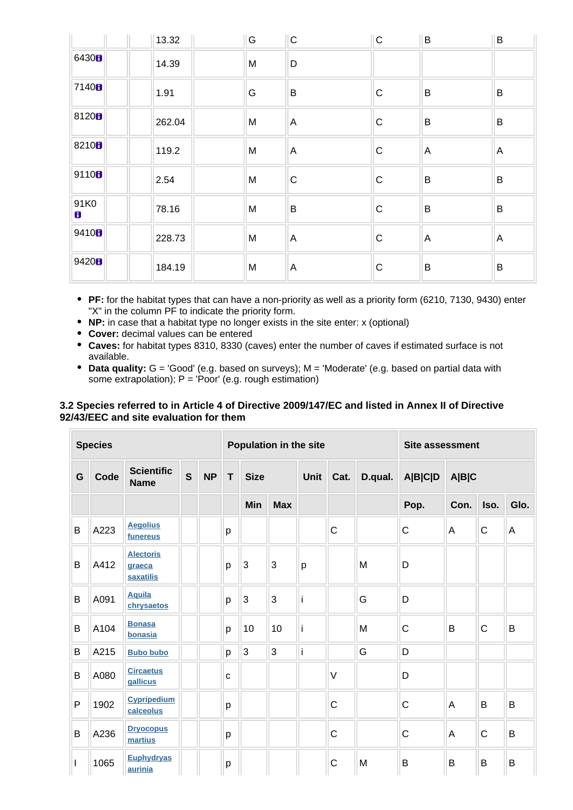|                      | 13.32  | G | $ {\rm c} $  | $\mathsf{C}$ | B              | B              |
|----------------------|--------|---|--------------|--------------|----------------|----------------|
| 6430 <b>8</b>        | 14.39  | M | D            |              |                |                |
| 7140 <sub>8</sub>    | 1.91   | G | B            | ${\bf C}$    | B              | B              |
| 81208                | 262.04 | M | $\mathsf{A}$ | ${\bf C}$    | $\sf B$        | $\sf B$        |
| 8210 <sub>8</sub>    | 119.2  | M | $\mathsf{A}$ | $\mathsf C$  | $\overline{A}$ | $\mathsf{A}$   |
| 9110 <sub>8</sub>    | 2.54   | M | C            | $\mathsf C$  | $\sf B$        | $\mathsf B$    |
| 91K0<br>$\mathbf{B}$ | 78.16  | M | B            | $\mathbf C$  | $\sf B$        | $\mathsf B$    |
| 9410 <sub>8</sub>    | 228.73 | M | $\mathsf{A}$ | ${\bf C}$    | $\overline{A}$ | $\overline{A}$ |
| 9420 <sub>B</sub>    | 184.19 | M | $\mathsf{A}$ | $\mathsf C$  | $\sf B$        | $\sf B$        |

- **PF:** for the habitat types that can have a non-priority as well as a priority form (6210, 7130, 9430) enter "X" in the column PF to indicate the priority form.
- **NP:** in case that a habitat type no longer exists in the site enter: x (optional)
- **Cover:** decimal values can be entered
- **Caves:** for habitat types 8310, 8330 (caves) enter the number of caves if estimated surface is not available.
- **Data quality:** G = 'Good' (e.g. based on surveys); M = 'Moderate' (e.g. based on partial data with some extrapolation);  $P = 'Poor'$  (e.g. rough estimation)

#### **3.2 Species referred to in Article 4 of Directive 2009/147/EC and listed in Annex II of Directive 92/43/EEC and site evaluation for them**

|   | <b>Species</b> |                                         |              |           |   |             |            | Population in the site |              | <b>Site assessment</b> |              |      |              |      |
|---|----------------|-----------------------------------------|--------------|-----------|---|-------------|------------|------------------------|--------------|------------------------|--------------|------|--------------|------|
| G | Code           | <b>Scientific</b><br><b>Name</b>        | $\mathbf{s}$ | <b>NP</b> | T | <b>Size</b> |            | Unit $\ $              | Cat.         | D.qual.                | A B C D      |      | A B C        |      |
|   |                |                                         |              |           |   | Min         | <b>Max</b> |                        |              |                        | Pop.         | Con. | Iso.         | Glo. |
| B | A223           | <b>Aegolius</b><br>funereus             |              |           | р |             |            |                        | $\mathsf C$  |                        | C            | A    | $\mathsf C$  | A    |
| B | A412           | <b>Alectoris</b><br>graeca<br>saxatilis |              |           | p | 3           | 3          | p                      |              | M                      | D            |      |              |      |
| B | A091           | <b>Aquila</b><br>chrysaetos             |              |           | p | 3           | 3          | i                      |              | G                      | D            |      |              |      |
| B | A104           | <b>Bonasa</b><br>bonasia                |              |           | p | 10          | 10         | i                      |              | M                      | $\mathsf{C}$ | B    | $\mathsf{C}$ | B    |
| B | A215           | <b>Bubo bubo</b>                        |              |           | p | 3           | 3          | İ                      |              | G                      | D            |      |              |      |
| B | A080           | <b>Circaetus</b><br>gallicus            |              |           | C |             |            |                        | $\vee$       |                        | D            |      |              |      |
| P | 1902           | <b>Cypripedium</b><br>calceolus         |              |           | р |             |            |                        | $\mathsf{C}$ |                        | $\mathsf{C}$ | A    | B            | B    |
| B | A236           | <b>Dryocopus</b><br>martius             |              |           | p |             |            |                        | $\mathsf{C}$ |                        | $\mathsf{C}$ | A    | $\mathsf{C}$ | B    |
| ı | 1065           | <b>Euphydryas</b><br>aurinia            |              |           | p |             |            |                        | $\mathsf C$  | M                      | B            | B    | B            | B    |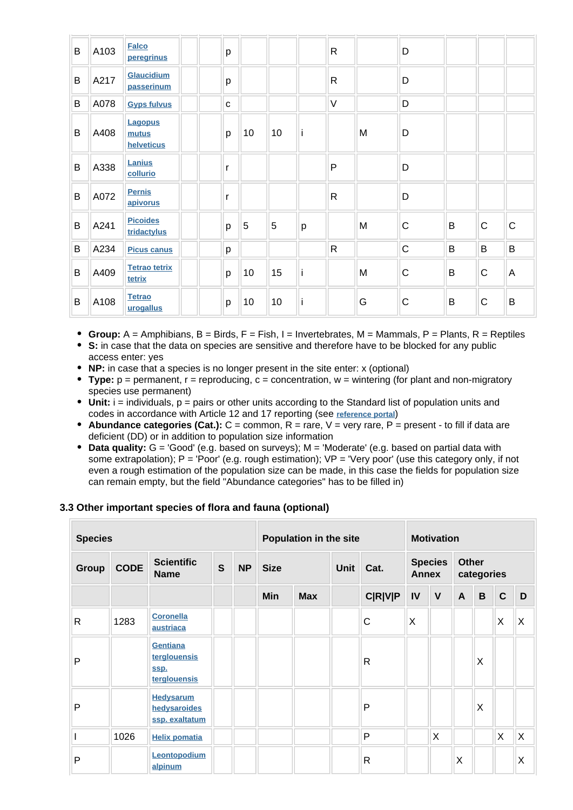| B | A103 | <b>Falco</b><br>peregrinus            | р |    |    |   | $\mathsf{R}$ |   | D            |   |              |                |
|---|------|---------------------------------------|---|----|----|---|--------------|---|--------------|---|--------------|----------------|
| B | A217 | Glaucidium<br>passerinum              | p |    |    |   | $\mathsf{R}$ |   | D            |   |              |                |
| B | A078 | <b>Gyps fulvus</b>                    | C |    |    |   | $\vee$       |   | D            |   |              |                |
| B | A408 | <b>Lagopus</b><br>mutus<br>helveticus | p | 10 | 10 |   |              | M | D            |   |              |                |
| B | A338 | Lanius<br>collurio                    | r |    |    |   | P            |   | D            |   |              |                |
| B | A072 | <b>Pernis</b><br>apivorus             | r |    |    |   | $\mathsf{R}$ |   | D            |   |              |                |
| B | A241 | <b>Picoides</b><br>tridactylus        | p | 5  | 5  | p |              | M | $\mathsf{C}$ | B | $\mathsf{C}$ | $\mathsf{C}$   |
| B | A234 | <b>Picus canus</b>                    | p |    |    |   | $\mathsf{R}$ |   | $\mathsf{C}$ | B | B            | $\mathsf B$    |
| B | A409 | <b>Tetrao tetrix</b><br>tetrix        | p | 10 | 15 | i |              | M | $\mathsf{C}$ | B | $\mathsf{C}$ | $\overline{A}$ |
| B | A108 | <b>Tetrao</b><br>urogallus            | p | 10 | 10 |   |              | G | $\mathsf{C}$ | B | $\mathsf{C}$ | B              |

- **Group:**  $A =$  Amphibians,  $B =$  Birds,  $F =$  Fish,  $I =$  Invertebrates,  $M =$  Mammals,  $P =$  Plants,  $R =$  Reptiles
- **S:** in case that the data on species are sensitive and therefore have to be blocked for any public access enter: yes
- **NP:** in case that a species is no longer present in the site enter: x (optional)
- **Type:** p = permanent, r = reproducing, c = concentration, w = wintering (for plant and non-migratory species use permanent)
- $\bullet$  Unit: i = individuals,  $p =$  pairs or other units according to the Standard list of population units and codes in accordance with Article 12 and 17 reporting (see **[reference portal](http://bd.eionet.europa.eu/activities/Natura_2000/reference_portal)**)
- **Abundance categories (Cat.):** C = common, R = rare, V = very rare, P = present to fill if data are deficient (DD) or in addition to population size information
- **Data quality:** G = 'Good' (e.g. based on surveys); M = 'Moderate' (e.g. based on partial data with some extrapolation);  $P = P^{\text{corr}}$  (e.g. rough estimation);  $VP = P^{\text{corr}}$  (use this category only, if not even a rough estimation of the population size can be made, in this case the fields for population size can remain empty, but the field "Abundance categories" has to be filled in)

#### **3.3 Other important species of flora and fauna (optional)**

| <b>Species</b> |             |                                                    |   | Population in the site |             |            |                     | <b>Motivation</b> |                                |              |                            |   |              |   |
|----------------|-------------|----------------------------------------------------|---|------------------------|-------------|------------|---------------------|-------------------|--------------------------------|--------------|----------------------------|---|--------------|---|
| <b>Group</b>   | <b>CODE</b> | <b>Scientific</b><br><b>Name</b>                   | S | <b>NP</b>              | <b>Size</b> |            | <b>Unit</b><br>Cat. |                   | <b>Species</b><br><b>Annex</b> |              | <b>Other</b><br>categories |   |              |   |
|                |             |                                                    |   |                        | Min         | <b>Max</b> |                     | <b>C R V P</b>    | IV                             | $\mathbf{V}$ | $\mathsf{A}$               | B | $\mathbf C$  | D |
| $\mathsf{R}$   | 1283        | <b>Coronella</b><br>austriaca                      |   |                        |             |            |                     | C                 | X                              |              |                            |   | X            | X |
| P              |             | Gentiana<br>terglouensis<br>SSD.<br>terglouensis   |   |                        |             |            |                     | R                 |                                |              |                            | X |              |   |
| P              |             | <b>Hedysarum</b><br>hedysaroides<br>ssp. exaltatum |   |                        |             |            |                     | P                 |                                |              |                            | X |              |   |
|                | 1026        | <b>Helix pomatia</b>                               |   |                        |             |            |                     | P                 |                                | $\sf X$      |                            |   | $\mathsf{X}$ | X |
| P              |             | Leontopodium<br>alpinum                            |   |                        |             |            |                     | R                 |                                |              | X                          |   |              | X |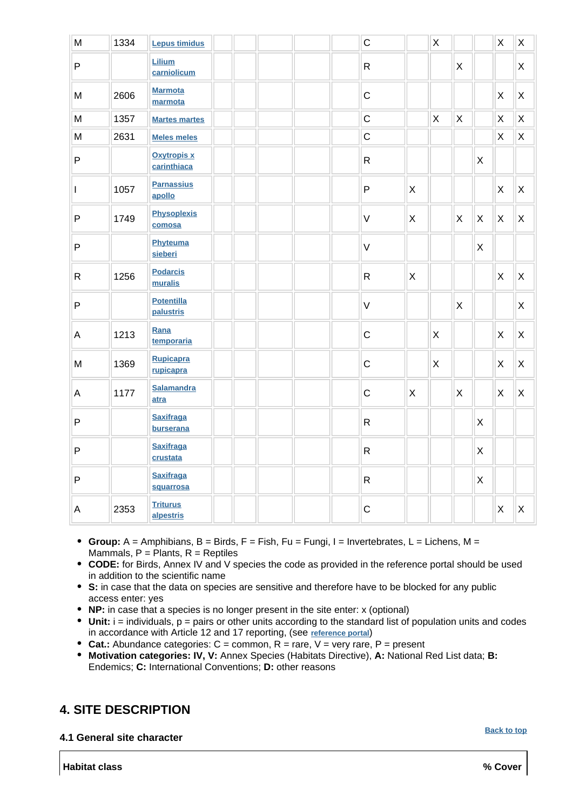| ${\sf M}$      | 1334 | <b>Lepus timidus</b>              |  |  | $\mathsf{C}$ |              | $\mathsf X$  |              |                           | $\sf X$ | $\sf X$        |
|----------------|------|-----------------------------------|--|--|--------------|--------------|--------------|--------------|---------------------------|---------|----------------|
| $\mathsf{P}$   |      | Lilium<br>carniolicum             |  |  | ${\sf R}$    |              |              | $\mathsf{X}$ |                           |         | X              |
| M              | 2606 | <b>Marmota</b><br>marmota         |  |  | $\mathsf C$  |              |              |              |                           | X       | $\pmb{\times}$ |
| M              | 1357 | <b>Martes martes</b>              |  |  | $\mathsf{C}$ |              | $\mathsf X$  | $\sf X$      |                           | $\sf X$ | $\sf X$        |
| M              | 2631 | <b>Meles meles</b>                |  |  | $\mathsf C$  |              |              |              |                           | $\sf X$ | $\mathsf{X}$   |
| $\sf P$        |      | <b>Oxytropis x</b><br>carinthiaca |  |  | $\mathsf{R}$ |              |              |              | $\boldsymbol{\mathsf{X}}$ |         |                |
| $\mathbf{I}$   | 1057 | <b>Parnassius</b><br>apollo       |  |  | $\mathsf{P}$ | $\mathsf{X}$ |              |              |                           | X       | $\mathsf{X}$   |
| $\mathsf{P}$   | 1749 | <b>Physoplexis</b><br>comosa      |  |  | $\vee$       | $\mathsf{X}$ |              | X            | $\boldsymbol{\mathsf{X}}$ | X       | Χ              |
| $\mathsf{P}$   |      | Phyteuma<br>sieberi               |  |  | $\vee$       |              |              |              | $\pmb{\times}$            |         |                |
| ${\sf R}$      | 1256 | <b>Podarcis</b><br>muralis        |  |  | $\mathsf{R}$ | $\mathsf{X}$ |              |              |                           | X       | $\sf X$        |
| $\mathsf{P}$   |      | <b>Potentilla</b><br>palustris    |  |  | $\vee$       |              |              | $\mathsf X$  |                           |         | X              |
| $\mathsf A$    | 1213 | Rana<br>temporaria                |  |  | $\mathsf{C}$ |              | $\mathsf{X}$ |              |                           | X       | $\mathsf{X}$   |
| M              | 1369 | <b>Rupicapra</b><br>rupicapra     |  |  | $\mathsf{C}$ |              | X            |              |                           | X       | X              |
| A              | 1177 | <b>Salamandra</b><br>atra         |  |  | $\mathsf C$  | X            |              | X            |                           | X       | X              |
| $\mathsf{P}$   |      | <b>Saxifraga</b><br>burserana     |  |  | ${\sf R}$    |              |              |              | X                         |         |                |
| $\sf P$        |      | <b>Saxifraga</b><br>crustata      |  |  | $\mathsf{R}$ |              |              |              | X                         |         |                |
| $\sf P$        |      | <b>Saxifraga</b><br>squarrosa     |  |  | ${\sf R}$    |              |              |              | $\pmb{\times}$            |         |                |
| $\overline{A}$ | 2353 | <b>Triturus</b><br>alpestris      |  |  | $\mathsf C$  |              |              |              |                           | X       | X              |

- **Group:** A = Amphibians, B = Birds, F = Fish, Fu = Fungi, I = Invertebrates, L = Lichens, M = Mammals,  $P =$  Plants,  $R =$  Reptiles
- **CODE:** for Birds, Annex IV and V species the code as provided in the reference portal should be used in addition to the scientific name
- **S:** in case that the data on species are sensitive and therefore have to be blocked for any public access enter: yes
- **NP:** in case that a species is no longer present in the site enter: x (optional)
- **Unit:** i = individuals, p = pairs or other units according to the standard list of population units and codes in accordance with Article 12 and 17 reporting, (see **[reference portal](http://bd.eionet.europa.eu/activities/Natura_2000/reference_portal)**)
- **Cat.:** Abundance categories: C = common, R = rare, V = very rare, P = present
- **Motivation categories: IV, V:** Annex Species (Habitats Directive), **A:** National Red List data; **B:** Endemics; **C:** International Conventions; **D:** other reasons

## <span id="page-4-0"></span>**4. SITE DESCRIPTION**

**4.1 General site character**

**[Back to top](#page-0-0)**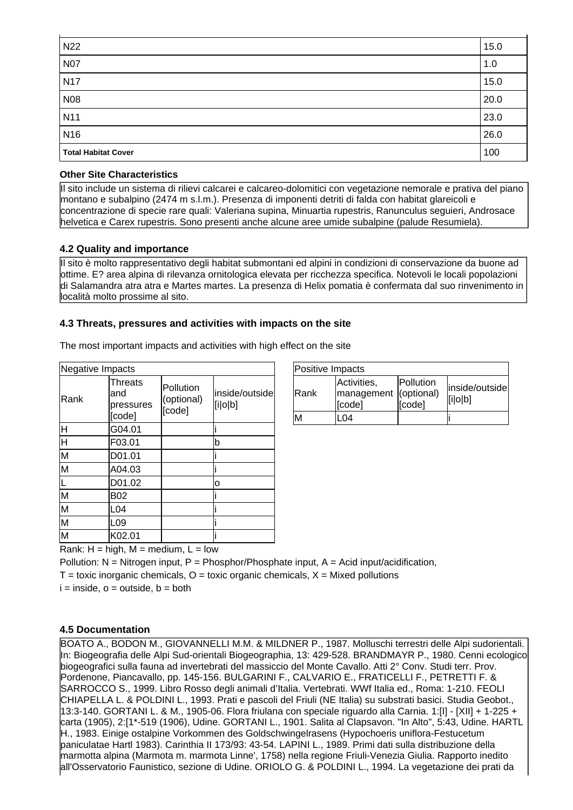| N22                        | 15.0 |
|----------------------------|------|
| <b>N07</b>                 | 1.0  |
| <b>N17</b>                 | 15.0 |
| N08                        | 20.0 |
| N <sub>11</sub>            | 23.0 |
| N <sub>16</sub>            | 26.0 |
| <b>Total Habitat Cover</b> | 100  |

### **Other Site Characteristics**

Il sito include un sistema di rilievi calcarei e calcareo-dolomitici con vegetazione nemorale e prativa del piano montano e subalpino (2474 m s.l.m.). Presenza di imponenti detriti di falda con habitat glareicoli e concentrazione di specie rare quali: Valeriana supina, Minuartia rupestris, Ranunculus seguieri, Androsace helvetica e Carex rupestris. Sono presenti anche alcune aree umide subalpine (palude Resumiela).

#### **4.2 Quality and importance**

Il sito è molto rappresentativo degli habitat submontani ed alpini in condizioni di conservazione da buone ad ottime. E? area alpina di rilevanza ornitologica elevata per ricchezza specifica. Notevoli le locali popolazioni di Salamandra atra atra e Martes martes. La presenza di Helix pomatia è confermata dal suo rinvenimento in località molto prossime al sito.

### **4.3 Threats, pressures and activities with impacts on the site**

| Negative Impacts   |                                              |                                   |                           |
|--------------------|----------------------------------------------|-----------------------------------|---------------------------|
| Rank               | <b>Threats</b><br>and<br>pressures<br>[code] | Pollution<br>(optional)<br>[code] | inside/outside<br>[i o b] |
| H                  | G04.01                                       |                                   |                           |
| $\overline{\sf H}$ | F03.01                                       |                                   | b                         |
| M                  | D01.01                                       |                                   |                           |
| M                  | A04.03                                       |                                   |                           |
|                    | D01.02                                       |                                   | о                         |
| M                  | B02                                          |                                   |                           |
| M                  | L04                                          |                                   |                           |
| M                  | L <sub>09</sub>                              |                                   |                           |
| M                  | K02.01                                       |                                   |                           |

The most important impacts and activities with high effect on the site

| Positive Impacts |                                                |                     |                           |  |  |
|------------------|------------------------------------------------|---------------------|---------------------------|--|--|
| <b>IRank</b>     | Activities,<br>management (optional)<br>[code] | Pollution<br>[code] | inside/outside<br>[i o b] |  |  |
|                  | 04                                             |                     |                           |  |  |

Rank:  $H = high$ ,  $M = medium$ ,  $L = low$ 

Pollution:  $N = N$ itrogen input, P = Phosphor/Phosphate input, A = Acid input/acidification,

 $T =$  toxic inorganic chemicals,  $O =$  toxic organic chemicals,  $X =$  Mixed pollutions

 $i =$  inside,  $o =$  outside,  $b =$  both

### **4.5 Documentation**

BOATO A., BODON M., GIOVANNELLI M.M. & MILDNER P., 1987. Molluschi terrestri delle Alpi sudorientali. In: Biogeografia delle Alpi Sud-orientali Biogeographia, 13: 429-528. BRANDMAYR P., 1980. Cenni ecologico biogeografici sulla fauna ad invertebrati del massiccio del Monte Cavallo. Atti 2° Conv. Studi terr. Prov. Pordenone, Piancavallo, pp. 145-156. BULGARINI F., CALVARIO E., FRATICELLI F., PETRETTI F. & SARROCCO S., 1999. Libro Rosso degli animali d'Italia. Vertebrati. WWf Italia ed., Roma: 1-210. FEOLI CHIAPELLA L. & POLDINI L., 1993. Prati e pascoli del Friuli (NE Italia) su substrati basici. Studia Geobot., 13:3-140. GORTANI L. & M., 1905-06. Flora friulana con speciale riguardo alla Carnia. 1:[I] - [XII] + 1-225 + carta (1905), 2:[1\*-519 (1906), Udine. GORTANI L., 1901. Salita al Clapsavon. "In Alto", 5:43, Udine. HARTL H., 1983. Einige ostalpine Vorkommen des Goldschwingelrasens (Hypochoeris uniflora-Festucetum paniculatae Hartl 1983). Carinthia II 173/93: 43-54. LAPINI L., 1989. Primi dati sulla distribuzione della marmotta alpina (Marmota m. marmota Linne', 1758) nella regione Friuli-Venezia Giulia. Rapporto inedito all'Osservatorio Faunistico, sezione di Udine. ORIOLO G. & POLDINI L., 1994. La vegetazione dei prati da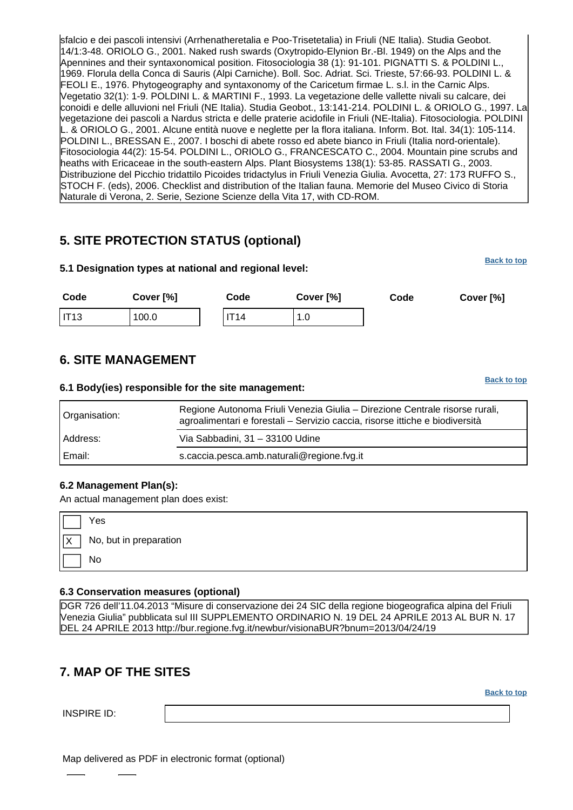sfalcio e dei pascoli intensivi (Arrhenatheretalia e Poo-Trisetetalia) in Friuli (NE Italia). Studia Geobot. 14/1:3-48. ORIOLO G., 2001. Naked rush swards (Oxytropido-Elynion Br.-Bl. 1949) on the Alps and the Apennines and their syntaxonomical position. Fitosociologia 38 (1): 91-101. PIGNATTI S. & POLDINI L., 1969. Florula della Conca di Sauris (Alpi Carniche). Boll. Soc. Adriat. Sci. Trieste, 57:66-93. POLDINI L. & FEOLI E., 1976. Phytogeography and syntaxonomy of the Caricetum firmae L. s.l. in the Carnic Alps. Vegetatio 32(1): 1-9. POLDINI L. & MARTINI F., 1993. La vegetazione delle vallette nivali su calcare, dei conoidi e delle alluvioni nel Friuli (NE Italia). Studia Geobot., 13:141-214. POLDINI L. & ORIOLO G., 1997. La vegetazione dei pascoli a Nardus stricta e delle praterie acidofile in Friuli (NE-Italia). Fitosociologia. POLDINI L. & ORIOLO G., 2001. Alcune entità nuove e neglette per la flora italiana. Inform. Bot. Ital. 34(1): 105-114. POLDINI L., BRESSAN E., 2007. I boschi di abete rosso ed abete bianco in Friuli (Italia nord-orientale). Fitosociologia 44(2): 15-54. POLDINI L., ORIOLO G., FRANCESCATO C., 2004. Mountain pine scrubs and heaths with Ericaceae in the south-eastern Alps. Plant Biosystems 138(1): 53-85. RASSATI G., 2003. Distribuzione del Picchio tridattilo Picoides tridactylus in Friuli Venezia Giulia. Avocetta, 27: 173 RUFFO S., STOCH F. (eds), 2006. Checklist and distribution of the Italian fauna. Memorie del Museo Civico di Storia Naturale di Verona, 2. Serie, Sezione Scienze della Vita 17, with CD-ROM.

# <span id="page-6-0"></span>**5. SITE PROTECTION STATUS (optional)**

| 5.1 Designation types at national and regional level: |           |  |             |           | <b>Back to top</b> |      |           |
|-------------------------------------------------------|-----------|--|-------------|-----------|--------------------|------|-----------|
| Code                                                  | Cover [%] |  | Code        | Cover [%] |                    | Code | Cover [%] |
| IT13                                                  | 100.0     |  | <b>IT14</b> | 1.0       |                    |      |           |

# <span id="page-6-1"></span>**6. SITE MANAGEMENT**

#### **6.1 Body(ies) responsible for the site management:**

| Organisation: | Regione Autonoma Friuli Venezia Giulia - Direzione Centrale risorse rurali,<br>agroalimentari e forestali - Servizio caccia, risorse ittiche e biodiversità |  |  |
|---------------|-------------------------------------------------------------------------------------------------------------------------------------------------------------|--|--|
| Address:      | Via Sabbadini, 31 - 33100 Udine                                                                                                                             |  |  |
| Email:        | s.caccia.pesca.amb.naturali@regione.fvg.it                                                                                                                  |  |  |

### **6.2 Management Plan(s):**

An actual management plan does exist:

| No, but in preparation<br>No |            | Yes |
|------------------------------|------------|-----|
|                              | $\sqrt{x}$ |     |
|                              |            |     |

#### **6.3 Conservation measures (optional)**

DGR 726 dell'11.04.2013 "Misure di conservazione dei 24 SIC della regione biogeografica alpina del Friuli Venezia Giulia" pubblicata sul III SUPPLEMENTO ORDINARIO N. 19 DEL 24 APRILE 2013 AL BUR N. 17 DEL 24 APRILE 2013 http://bur.regione.fvg.it/newbur/visionaBUR?bnum=2013/04/24/19

# <span id="page-6-2"></span>**7. MAP OF THE SITES**

INSPIRE ID:

Map delivered as PDF in electronic format (optional)

**[Back to top](#page-0-0)**

**[Back to top](#page-0-0)**